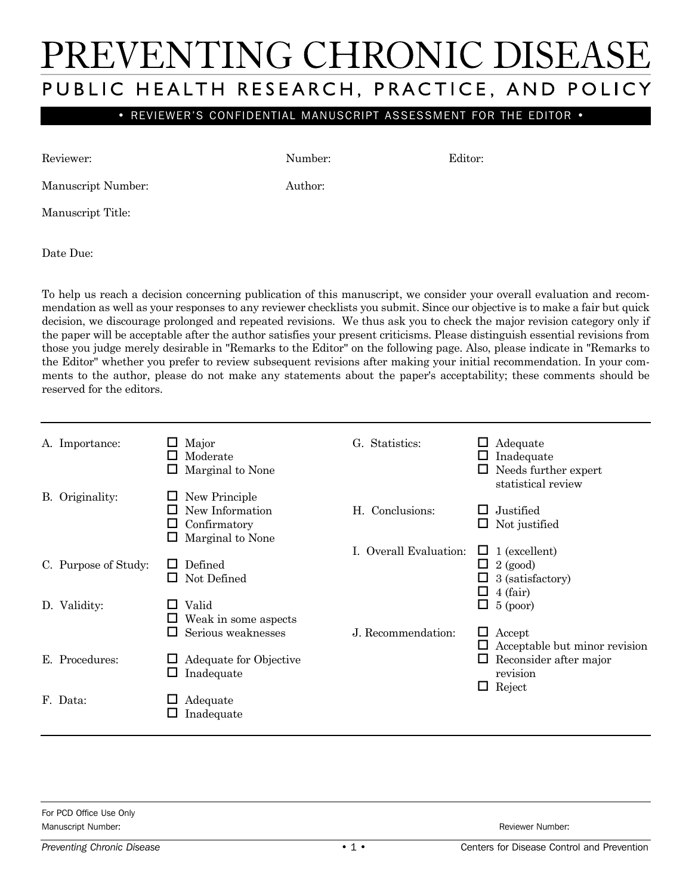## PREVENTING CHRONIC DISEASE PUBLIC HEALTH RESEARCH, PRACTICE, AND POLICY

• REVIEWER'S CONFIDENTIAL MANUSCRIPT ASSESSMENT FOR THE EDITOR •

Reviewer: Editor: Number: Editor:

Manuscript Number: Author:

Manuscript Title:

Date Due:

To help us reach a decision concerning publication of this manuscript, we consider your overall evaluation and recommendation as well as your responses to any reviewer checklists you submit. Since our objective is to make a fair but quick decision, we discourage prolonged and repeated revisions. We thus ask you to check the major revision category only if the paper will be acceptable after the author satisfies your present criticisms. Please distinguish essential revisions from those you judge merely desirable in "Remarks to the Editor" on the following page. Also, please indicate in "Remarks to the Editor" whether you prefer to review subsequent revisions after making your initial recommendation. In your comments to the author, please do not make any statements about the paper's acceptability; these comments should be reserved for the editors.

| A. Importance:       | Major<br>Moderate<br>Marginal to None                                | G. Statistics:         | Adequate<br>Inadequate<br>Needs further expert<br>statistical review         |
|----------------------|----------------------------------------------------------------------|------------------------|------------------------------------------------------------------------------|
| B. Originality:      | New Principle<br>New Information<br>Confirmatory<br>Marginal to None | H. Conclusions:        | Justified<br>Not justified                                                   |
| C. Purpose of Study: | Defined<br>Not Defined                                               | I. Overall Evaluation: | $\Box$ 1 (excellent)<br>$2$ (good)<br>ப<br>3 (satisfactory)<br>4 (fair)<br>ப |
| D. Validity:         | Valid<br>Weak in some aspects<br>Serious weaknesses                  | J. Recommendation:     | $5$ (poor)<br>П<br>$\Box$ Accept<br>Acceptable but minor revision            |
| E. Procedures:       | Adequate for Objective<br>Inadequate<br>ப                            |                        | Reconsider after major<br>revision<br>Reject<br>ப                            |
| F. Data:             | Adequate<br>Inadequate                                               |                        |                                                                              |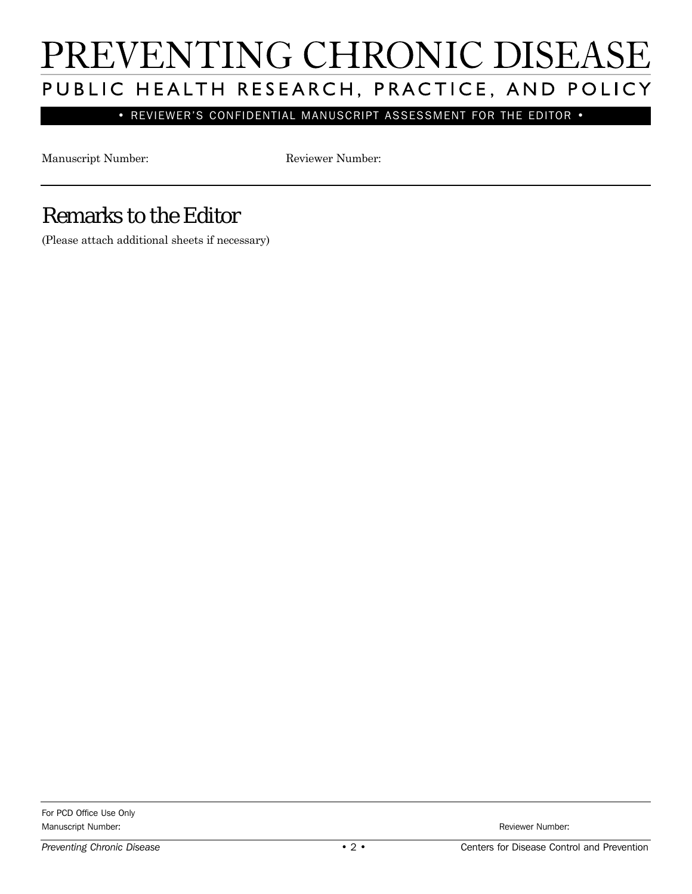# PREVENTING CHRONIC DISEASE PUBLIC HEALTH RESEARCH, PRACTICE, AND POLICY

• REVIEWER'S CONFIDENTIAL MANUSCRIPT ASSESSMENT FOR THE EDITOR •

Manuscript Number: Reviewer Number:

### Remarks to the Editor

(Please attach additional sheets if necessary)